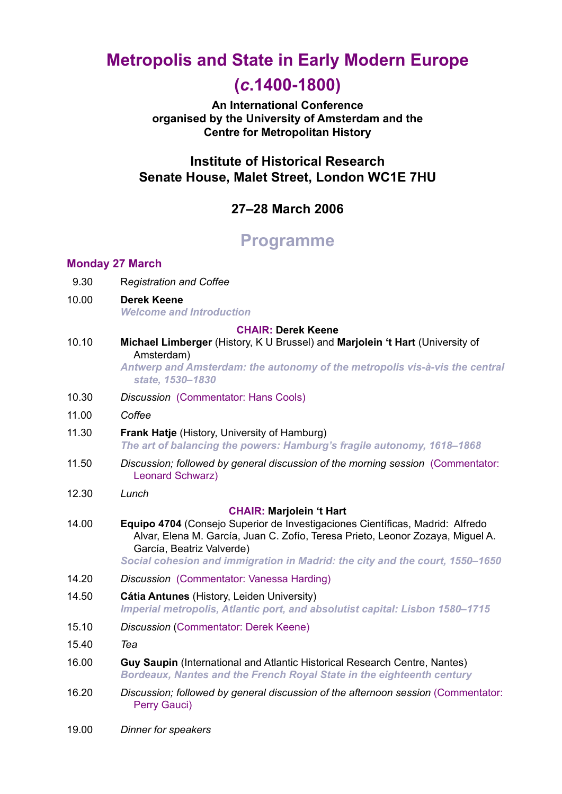# **Metropolis and State in Early Modern Europe**

## **(***c***.1400-1800)**

**An International Conference organised by the University of Amsterdam and the Centre for Metropolitan History** 

### **Institute of Historical Research Senate House, Malet Street, London WC1E 7HU**

### **27–28 March 2006**

## **Programme**

### **Monday 27 March**

- 9.30 R*egistration and Coffee*
- 10.00 **Derek Keene** *Welcome and Introduction*

#### **CHAIR: Derek Keene**

10.10 **Michael Limberger** (History, K U Brussel) and **Marjolein 't Hart** (University of Amsterdam)

> *Antwerp and Amsterdam: the autonomy of the metropolis vis-à-vis the central state, 1530–1830*

- 10.30 *Discussion* (Commentator: Hans Cools)
- 11.00 *Coffee*
- 11.30 **Frank Hatje** (History, University of Hamburg) *The art of balancing the powers: Hamburg's fragile autonomy, 1618–1868*
- 11.50 *Discussion; followed by general discussion of the morning session* (Commentator: Leonard Schwarz)
- 12.30 *Lunch*

### **CHAIR: Marjolein 't Hart**

14.00 **Equipo 4704** (Consejo Superior de Investigaciones Científicas, Madrid: Alfredo Alvar, Elena M. García, Juan C. Zofío, Teresa Prieto, Leonor Zozaya, Miguel A. García, Beatriz Valverde)

*Social cohesion and immigration in Madrid: the city and the court, 1550–1650*

- 14.20 *Discussion* (Commentator: Vanessa Harding)
- 14.50 **Cátia Antunes** (History, Leiden University) *Imperial metropolis, Atlantic port, and absolutist capital: Lisbon 1580–1715*
- 15.10 *Discussion* (Commentator: Derek Keene)
- 15.40 *Tea*
- 16.00 **Guy Saupin** (International and Atlantic Historical Research Centre, Nantes) *Bordeaux, Nantes and the French Royal State in the eighteenth century*
- 16.20 *Discussion; followed by general discussion of the afternoon session* (Commentator: Perry Gauci)
- 19.00 *Dinner for speakers*